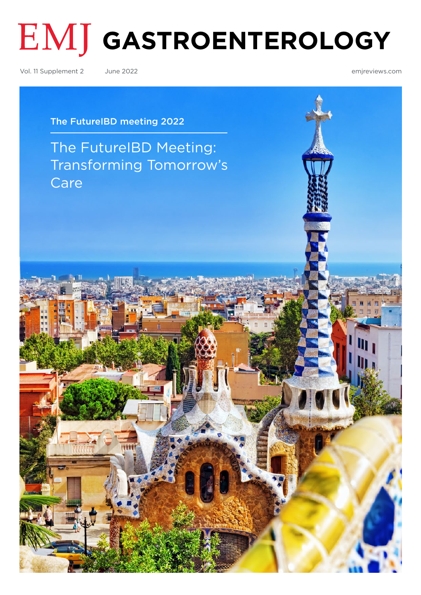# **GASTROENTEROLOGY**

Vol. 11 Supplement 2 June 2022 [emjreviews.com](http://www.emjreviews.com)

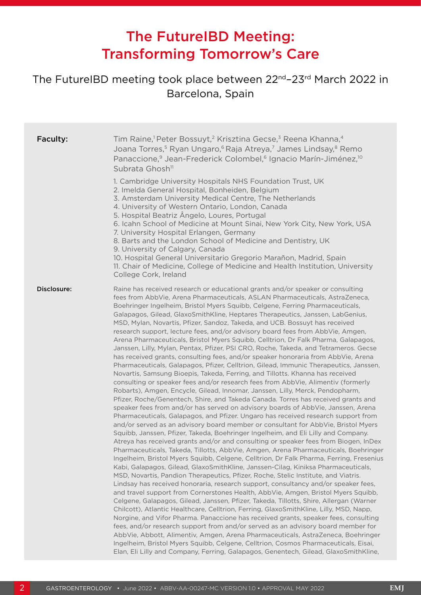# The FutureIBD Meeting: Transforming Tomorrow's Care

## <span id="page-1-0"></span>The FutureIBD meeting took place between 22nd–23rd March 2022 in Barcelona, Spain

| Faculty:    | Tim Raine, <sup>1</sup> Peter Bossuyt, <sup>2</sup> Krisztina Gecse, <sup>3</sup> Reena Khanna, <sup>4</sup><br>Joana Torres, <sup>5</sup> Ryan Ungaro, <sup>6</sup> Raja Atreya, <sup>7</sup> James Lindsay,8 Remo<br>Panaccione, <sup>9</sup> Jean-Frederick Colombel, <sup>6</sup> Ignacio Marín-Jiménez, <sup>10</sup><br>Subrata Ghosh <sup>11</sup>                                                                                                                                                                                                                                                                                                                                                                                                                                                                                                                                                                                                                                                                                                                                                                                                                                                                                                                                                                                                                                                                                                                                                                                                                                                                                                                                                                                                                                                                                                                                                                                                                                                                                                                                                                                                                                                                                                                                                                                                                                                                                                                                                                                                                                                                                                                                                                                                                                                                     |
|-------------|-------------------------------------------------------------------------------------------------------------------------------------------------------------------------------------------------------------------------------------------------------------------------------------------------------------------------------------------------------------------------------------------------------------------------------------------------------------------------------------------------------------------------------------------------------------------------------------------------------------------------------------------------------------------------------------------------------------------------------------------------------------------------------------------------------------------------------------------------------------------------------------------------------------------------------------------------------------------------------------------------------------------------------------------------------------------------------------------------------------------------------------------------------------------------------------------------------------------------------------------------------------------------------------------------------------------------------------------------------------------------------------------------------------------------------------------------------------------------------------------------------------------------------------------------------------------------------------------------------------------------------------------------------------------------------------------------------------------------------------------------------------------------------------------------------------------------------------------------------------------------------------------------------------------------------------------------------------------------------------------------------------------------------------------------------------------------------------------------------------------------------------------------------------------------------------------------------------------------------------------------------------------------------------------------------------------------------------------------------------------------------------------------------------------------------------------------------------------------------------------------------------------------------------------------------------------------------------------------------------------------------------------------------------------------------------------------------------------------------------------------------------------------------------------------------------------------------|
|             | 1. Cambridge University Hospitals NHS Foundation Trust, UK<br>2. Imelda General Hospital, Bonheiden, Belgium<br>3. Amsterdam University Medical Centre, The Netherlands<br>4. University of Western Ontario, London, Canada<br>5. Hospital Beatriz Ângelo, Loures, Portugal<br>6. Icahn School of Medicine at Mount Sinai, New York City, New York, USA<br>7. University Hospital Erlangen, Germany<br>8. Barts and the London School of Medicine and Dentistry, UK<br>9. University of Calgary, Canada<br>10. Hospital General Universitario Gregorio Marañon, Madrid, Spain<br>11. Chair of Medicine, College of Medicine and Health Institution, University<br>College Cork, Ireland                                                                                                                                                                                                                                                                                                                                                                                                                                                                                                                                                                                                                                                                                                                                                                                                                                                                                                                                                                                                                                                                                                                                                                                                                                                                                                                                                                                                                                                                                                                                                                                                                                                                                                                                                                                                                                                                                                                                                                                                                                                                                                                                       |
| Disclosure: | Raine has received research or educational grants and/or speaker or consulting<br>fees from AbbVie, Arena Pharmaceuticals, ASLAN Pharmaceuticals, AstraZeneca,<br>Boehringer Ingelheim, Bristol Myers Squibb, Celgene, Ferring Pharmaceuticals,<br>Galapagos, Gilead, GlaxoSmithKline, Heptares Therapeutics, Janssen, LabGenius,<br>MSD, Mylan, Novartis, Pfizer, Sandoz, Takeda, and UCB. Bossuyt has received<br>research support, lecture fees, and/or advisory board fees from AbbVie, Amgen,<br>Arena Pharmaceuticals, Bristol Myers Squibb, Celltrion, Dr Falk Pharma, Galapagos,<br>Janssen, Lilly, Mylan, Pentax, Pfizer, PSI CRO, Roche, Takeda, and Tetrameros. Gecse<br>has received grants, consulting fees, and/or speaker honoraria from AbbVie, Arena<br>Pharmaceuticals, Galapagos, Pfizer, Celltrion, Gilead, Immunic Therapeutics, Janssen,<br>Novartis, Samsung Bioepis, Takeda, Ferring, and Tillotts. Khanna has received<br>consulting or speaker fees and/or research fees from AbbVie, Alimentiv (formerly<br>Robarts), Amgen, Encycle, Gilead, Innomar, Janssen, Lilly, Merck, Pendopharm,<br>Pfizer, Roche/Genentech, Shire, and Takeda Canada. Torres has received grants and<br>speaker fees from and/or has served on advisory boards of AbbVie, Janssen, Arena<br>Pharmaceuticals, Galapagos, and Pfizer. Ungaro has received research support from<br>and/or served as an advisory board member or consultant for AbbVie, Bristol Myers<br>Squibb, Janssen, Pfizer, Takeda, Boehringer Ingelheim, and Eli Lilly and Company.<br>Atreya has received grants and/or and consulting or speaker fees from Biogen, InDex<br>Pharmaceuticals, Takeda, Tillotts, AbbVie, Amgen, Arena Pharmaceuticals, Boehringer<br>Ingelheim, Bristol Myers Squibb, Celgene, Celltrion, Dr Falk Pharma, Ferring, Fresenius<br>Kabi, Galapagos, Gilead, GlaxoSmithKline, Janssen-Cilag, Kiniksa Pharmaceuticals,<br>MSD, Novartis, Pandion Therapeutics, Pfizer, Roche, Stelic Institute, and Viatris.<br>Lindsay has received honoraria, research support, consultancy and/or speaker fees,<br>and travel support from Cornerstones Health, AbbVie, Amgen, Bristol Myers Squibb,<br>Celgene, Galapagos, Gilead, Janssen, Pfizer, Takeda, Tillotts, Shire, Allergan (Warner<br>Chilcott), Atlantic Healthcare, Celltrion, Ferring, GlaxoSmithKline, Lilly, MSD, Napp,<br>Norgine, and Vifor Pharma. Panaccione has received grants, speaker fees, consulting<br>fees, and/or research support from and/or served as an advisory board member for<br>AbbVie, Abbott, Alimentiv, Amgen, Arena Pharmaceuticals, AstraZeneca, Boehringer<br>Ingelheim, Bristol Myers Squibb, Celgene, Celltrion, Cosmos Pharmaceuticals, Eisai,<br>Elan, Eli Lilly and Company, Ferring, Galapagos, Genentech, Gilead, GlaxoSmithKline, |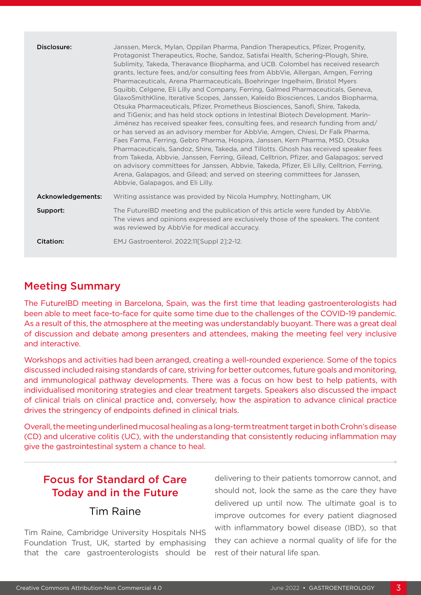| Disclosure:       | Janssen, Merck, Mylan, Oppilan Pharma, Pandion Therapeutics, Pfizer, Progenity,<br>Protagonist Therapeutics, Roche, Sandoz, Satisfai Health, Schering-Plough, Shire,<br>Sublimity, Takeda, Theravance Biopharma, and UCB. Colombel has received research<br>grants, lecture fees, and/or consulting fees from AbbVie, Allergan, Amgen, Ferring<br>Pharmaceuticals, Arena Pharmaceuticals, Boehringer Ingelheim, Bristol Myers<br>Squibb, Celgene, Eli Lilly and Company, Ferring, Galmed Pharmaceuticals, Geneva,<br>GlaxoSmithKline, Iterative Scopes, Janssen, Kaleido Biosciences, Landos Biopharma,<br>Otsuka Pharmaceuticals, Pfizer, Prometheus Biosciences, Sanofi, Shire, Takeda,<br>and TiGenix; and has held stock options in Intestinal Biotech Development. Marín-<br>Jiménez has received speaker fees, consulting fees, and research funding from and/<br>or has served as an advisory member for AbbVie, Amgen, Chiesi, Dr Falk Pharma,<br>Faes Farma, Ferring, Gebro Pharma, Hospira, Janssen, Kern Pharma, MSD, Otsuka<br>Pharmaceuticals, Sandoz, Shire, Takeda, and Tillotts. Ghosh has received speaker fees<br>from Takeda, Abbvie, Janssen, Ferring, Gilead, Celltrion, Pfizer, and Galapagos; served<br>on advisory committees for Janssen, Abbvie, Takeda, Pfizer, Eli Lilly, Celltrion, Ferring,<br>Arena, Galapagos, and Gilead; and served on steering committees for Janssen,<br>Abbyie, Galapagos, and Eli Lilly. |
|-------------------|------------------------------------------------------------------------------------------------------------------------------------------------------------------------------------------------------------------------------------------------------------------------------------------------------------------------------------------------------------------------------------------------------------------------------------------------------------------------------------------------------------------------------------------------------------------------------------------------------------------------------------------------------------------------------------------------------------------------------------------------------------------------------------------------------------------------------------------------------------------------------------------------------------------------------------------------------------------------------------------------------------------------------------------------------------------------------------------------------------------------------------------------------------------------------------------------------------------------------------------------------------------------------------------------------------------------------------------------------------------------------------------------------------------------------------------------|
| Acknowledgements: | Writing assistance was provided by Nicola Humphry, Nottingham, UK                                                                                                                                                                                                                                                                                                                                                                                                                                                                                                                                                                                                                                                                                                                                                                                                                                                                                                                                                                                                                                                                                                                                                                                                                                                                                                                                                                              |
| Support:          | The FutureIBD meeting and the publication of this article were funded by AbbVie.<br>The views and opinions expressed are exclusively those of the speakers. The content<br>was reviewed by AbbVie for medical accuracy.                                                                                                                                                                                                                                                                                                                                                                                                                                                                                                                                                                                                                                                                                                                                                                                                                                                                                                                                                                                                                                                                                                                                                                                                                        |
| Citation:         | EMJ Gastroenterol. 2022;11[Suppl 2]:2-12.                                                                                                                                                                                                                                                                                                                                                                                                                                                                                                                                                                                                                                                                                                                                                                                                                                                                                                                                                                                                                                                                                                                                                                                                                                                                                                                                                                                                      |

#### Meeting Summary

The FutureIBD meeting in Barcelona, Spain, was the first time that leading gastroenterologists had been able to meet face-to-face for quite some time due to the challenges of the COVID-19 pandemic. As a result of this, the atmosphere at the meeting was understandably buoyant. There was a great deal of discussion and debate among presenters and attendees, making the meeting feel very inclusive and interactive.

Workshops and activities had been arranged, creating a well-rounded experience. Some of the topics discussed included raising standards of care, striving for better outcomes, future goals and monitoring, and immunological pathway developments. There was a focus on how best to help patients, with individualised monitoring strategies and clear treatment targets. Speakers also discussed the impact of clinical trials on clinical practice and, conversely, how the aspiration to advance clinical practice drives the stringency of endpoints defined in clinical trials.

Overall, the meeting underlined mucosal healing as a long-term treatment target in both Crohn's disease (CD) and ulcerative colitis (UC), with the understanding that consistently reducing inflammation may give the gastrointestinal system a chance to heal.

# Focus for Standard of Care Today and in the Future

#### Tim Raine

Tim Raine, Cambridge University Hospitals NHS Foundation Trust, UK, started by emphasising that the care gastroenterologists should be delivering to their patients tomorrow cannot, and should not, look the same as the care they have delivered up until now. The ultimate goal is to improve outcomes for every patient diagnosed with inflammatory bowel disease (IBD), so that they can achieve a normal quality of life for the rest of their natural life span.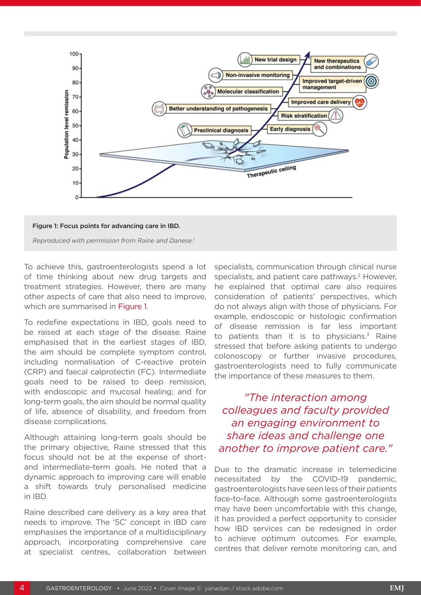



To achieve this, gastroenterologists spend a lot of time thinking about new drug targets and treatment strategies. However, there are many other aspects of care that also need to improve, which are summarised in Figure 1.

To redefine expectations in IBD, goals need to be raised at each stage of the disease. Raine emphasised that in the earliest stages of IBD, the aim should be complete symptom control, including normalisation of C-reactive protein (CRP) and faecal calprotectin (FC). Intermediate goals need to be raised to deep remission, with endoscopic and mucosal healing; and for long-term goals, the aim should be normal quality of life, absence of disability, and freedom from disease complications.

Although attaining long-term goals should be the primary objective, Raine stressed that this focus should not be at the expense of shortand intermediate-term goals. He noted that a dynamic approach to improving care will enable a shift towards truly personalised medicine in IBD.

Raine described care delivery as a key area that needs to improve. The '5C' concept in IBD care emphasises the importance of a multidisciplinary approach, incorporating comprehensive care at specialist centres, collaboration between

specialists, communication through clinical nurse specialists, and patient care pathways.<sup>2</sup> However, he explained that optimal care also requires consideration of patients' perspectives, which do not always align with those of physicians. For example, endoscopic or histologic confirmation of disease remission is far less important to patients than it is to physicians. $3$  Raine stressed that before asking patients to undergo colonoscopy or further invasive procedures, gastroenterologists need to fully communicate the importance of these measures to them.

*"The interaction among colleagues and faculty provided an engaging environment to share ideas and challenge one another to improve patient care."*

Due to the dramatic increase in telemedicine necessitated by the COVID-19 pandemic, gastroenterologists have seen less of their patients face-to-face. Although some gastroenterologists may have been uncomfortable with this change, it has provided a perfect opportunity to consider how IBD services can be redesigned in order to achieve optimum outcomes. For example, centres that deliver remote monitoring can, and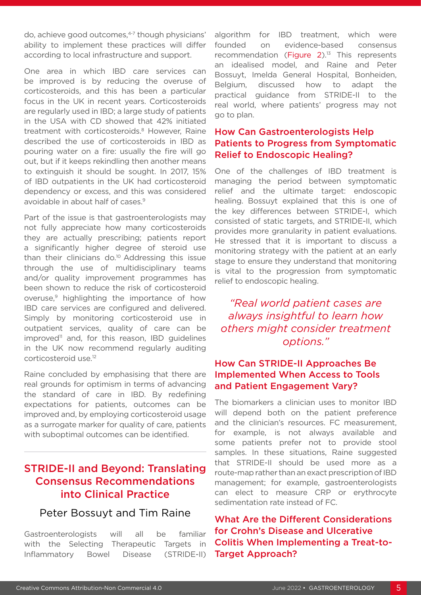do, achieve good outcomes,<sup>4-7</sup> though physicians' ability to implement these practices will differ according to local infrastructure and support.

One area in which IBD care services can be improved is by reducing the overuse of corticosteroids, and this has been a particular focus in the UK in recent years. Corticosteroids are regularly used in IBD; a large study of patients in the USA with CD showed that 42% initiated treatment with corticosteroids.<sup>8</sup> However, Raine described the use of corticosteroids in IBD as pouring water on a fire: usually the fire will go out, but if it keeps rekindling then another means to extinguish it should be sought. In 2017, 15% of IBD outpatients in the UK had corticosteroid dependency or excess, and this was considered avoidable in about half of cases.9

Part of the issue is that gastroenterologists may not fully appreciate how many corticosteroids they are actually prescribing; patients report a significantly higher degree of steroid use than their clinicians do.<sup>10</sup> Addressing this issue through the use of multidisciplinary teams and/or quality improvement programmes has been shown to reduce the risk of corticosteroid overuse,<sup>9</sup> highlighting the importance of how IBD care services are configured and delivered. Simply by monitoring corticosteroid use in outpatient services, quality of care can be improved<sup>11</sup> and, for this reason, IBD quidelines in the UK now recommend regularly auditing corticosteroid use.12

Raine concluded by emphasising that there are real grounds for optimism in terms of advancing the standard of care in IBD. By redefining expectations for patients, outcomes can be improved and, by employing corticosteroid usage as a surrogate marker for quality of care, patients with suboptimal outcomes can be identified.

#### STRIDE-II and Beyond: Translating Consensus Recommendations into Clinical Practice

#### Peter Bossuyt and Tim Raine

Gastroenterologists will all be familiar with the Selecting Therapeutic Targets in Inflammatory Bowel Disease (STRIDE-II)

algorithm for IBD treatment, which were founded on evidence-based consensus recommendation (Figure 2).<sup>13</sup> This represents an idealised model, and Raine and Peter Bossuyt, Imelda General Hospital, Bonheiden, Belgium, discussed how to adapt the practical guidance from STRIDE-II to the real world, where patients' progress may not go to plan.

#### How Can Gastroenterologists Help Patients to Progress from Symptomatic Relief to Endoscopic Healing?

One of the challenges of IBD treatment is managing the period between symptomatic relief and the ultimate target: endoscopic healing. Bossuyt explained that this is one of the key differences between STRIDE-I, which consisted of static targets, and STRIDE-II, which provides more granularity in patient evaluations. He stressed that it is important to discuss a monitoring strategy with the patient at an early stage to ensure they understand that monitoring is vital to the progression from symptomatic relief to endoscopic healing.

*"Real world patient cases are always insightful to learn how others might consider treatment options."*

#### How Can STRIDE-II Approaches Be Implemented When Access to Tools and Patient Engagement Vary?

The biomarkers a clinician uses to monitor IBD will depend both on the patient preference and the clinician's resources. FC measurement, for example, is not always available and some patients prefer not to provide stool samples. In these situations, Raine suggested that STRIDE-II should be used more as a route-map rather than an exact prescription of IBD management; for example, gastroenterologists can elect to measure CRP or erythrocyte sedimentation rate instead of FC.

What Are the Different Considerations for Crohn's Disease and Ulcerative Colitis When Implementing a Treat-to-Target Approach?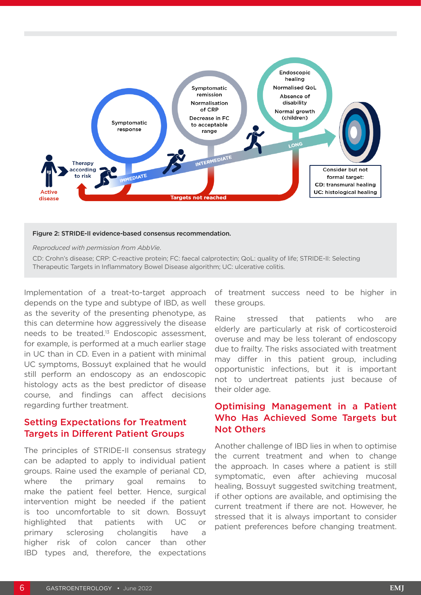

#### Figure 2: STRIDE-II evidence-based consensus recommendation.

*Reproduced with permission from AbbVie*.

CD: Crohn's disease; CRP: C-reactive protein; FC: faecal calprotectin; QoL: quality of life; STRIDE-II: Selecting Therapeutic Targets in Inflammatory Bowel Disease algorithm; UC: ulcerative colitis.

Implementation of a treat-to-target approach depends on the type and subtype of IBD, as well as the severity of the presenting phenotype, as this can determine how aggressively the disease needs to be treated.13 Endoscopic assessment, for example, is performed at a much earlier stage in UC than in CD. Even in a patient with minimal UC symptoms, Bossuyt explained that he would still perform an endoscopy as an endoscopic histology acts as the best predictor of disease course, and findings can affect decisions regarding further treatment.

#### Setting Expectations for Treatment Targets in Different Patient Groups

The principles of STRIDE-II consensus strategy can be adapted to apply to individual patient groups. Raine used the example of perianal CD, where the primary goal remains to make the patient feel better. Hence, surgical intervention might be needed if the patient is too uncomfortable to sit down. Bossuyt highlighted that patients with UC or primary sclerosing cholangitis have a higher risk of colon cancer than other IBD types and, therefore, the expectations

of treatment success need to be higher in these groups.

Raine stressed that patients who are elderly are particularly at risk of corticosteroid overuse and may be less tolerant of endoscopy due to frailty. The risks associated with treatment may differ in this patient group, including opportunistic infections, but it is important not to undertreat patients just because of their older age.

#### Optimising Management in a Patient Who Has Achieved Some Targets but Not Others

Another challenge of IBD lies in when to optimise the current treatment and when to change the approach. In cases where a patient is still symptomatic, even after achieving mucosal healing, Bossuyt suggested switching treatment, if other options are available, and optimising the current treatment if there are not. However, he stressed that it is always important to consider patient preferences before changing treatment.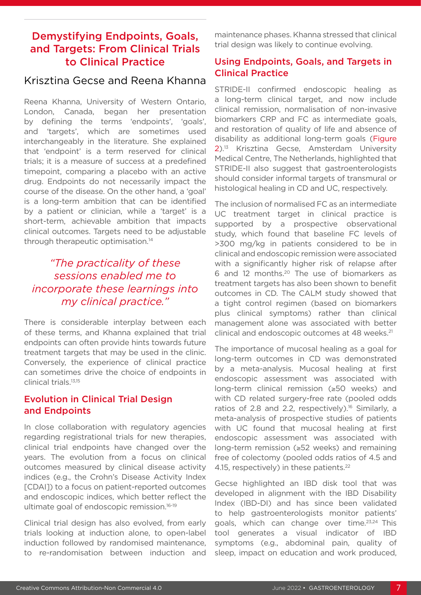### Demystifying Endpoints, Goals, and Targets: From Clinical Trials to Clinical Practice

#### Krisztina Gecse and Reena Khanna

Reena Khanna, University of Western Ontario, London, Canada, began her presentation by defining the terms 'endpoints', 'goals', and 'targets', which are sometimes used interchangeably in the literature. She explained that 'endpoint' is a term reserved for clinical trials; it is a measure of success at a predefined timepoint, comparing a placebo with an active drug. Endpoints do not necessarily impact the course of the disease. On the other hand, a 'goal' is a long-term ambition that can be identified by a patient or clinician, while a 'target' is a short-term, achievable ambition that impacts clinical outcomes. Targets need to be adjustable through therapeutic optimisation.14

### *"The practicality of these sessions enabled me to incorporate these learnings into my clinical practice."*

There is considerable interplay between each of these terms, and Khanna explained that trial endpoints can often provide hints towards future treatment targets that may be used in the clinic. Conversely, the experience of clinical practice can sometimes drive the choice of endpoints in clinical trials.13,15

#### Evolution in Clinical Trial Design and Endpoints

In close collaboration with regulatory agencies regarding registrational trials for new therapies, clinical trial endpoints have changed over the years. The evolution from a focus on clinical outcomes measured by clinical disease activity indices (e.g., the Crohn's Disease Activity Index [CDAI]) to a focus on patient-reported outcomes and endoscopic indices, which better reflect the ultimate goal of endoscopic remission.<sup>16-19</sup>

Clinical trial design has also evolved, from early trials looking at induction alone, to open-label induction followed by randomised maintenance, to re-randomisation between induction and

maintenance phases. Khanna stressed that clinical trial design was likely to continue evolving.

#### Using Endpoints, Goals, and Targets in Clinical Practice

STRIDE-II confirmed endoscopic healing as a long-term clinical target, and now include clinical remission, normalisation of non-invasive biomarkers CRP and FC as intermediate goals, and restoration of quality of life and absence of disability as additional long-term goals (Figure 2).13 Krisztina Gecse, Amsterdam University Medical Centre, The Netherlands, highlighted that STRIDE-II also suggest that gastroenterologists should consider informal targets of transmural or histological healing in CD and UC, respectively.

The inclusion of normalised FC as an intermediate UC treatment target in clinical practice is supported by a prospective observational study, which found that baseline FC levels of >300 mg/kg in patients considered to be in clinical and endoscopic remission were associated with a significantly higher risk of relapse after 6 and 12 months.20 The use of biomarkers as treatment targets has also been shown to benefit outcomes in CD. The CALM study showed that a tight control regimen (based on biomarkers plus clinical symptoms) rather than clinical management alone was associated with better clinical and endoscopic outcomes at 48 weeks.<sup>21</sup>

The importance of mucosal healing as a goal for long-term outcomes in CD was demonstrated by a meta-analysis. Mucosal healing at first endoscopic assessment was associated with long-term clinical remission (≥50 weeks) and with CD related surgery-free rate (pooled odds ratios of 2.8 and 2.2, respectively).<sup>16</sup> Similarly, a meta-analysis of prospective studies of patients with UC found that mucosal healing at first endoscopic assessment was associated with long-term remission (≥52 weeks) and remaining free of colectomy (pooled odds ratios of 4.5 and 4.15, respectively) in these patients.<sup>22</sup>

Gecse highlighted an IBD disk tool that was developed in alignment with the IBD Disability Index (IBD-DI) and has since been validated to help gastroenterologists monitor patients' goals, which can change over time.<sup>23,24</sup> This tool generates a visual indicator of IBD symptoms (e.g., abdominal pain, quality of sleep, impact on education and work produced,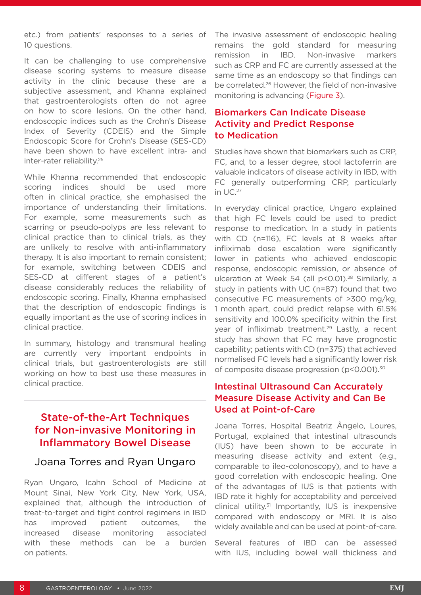etc.) from patients' responses to a series of 10 questions.

It can be challenging to use comprehensive disease scoring systems to measure disease activity in the clinic because these are a subjective assessment, and Khanna explained that gastroenterologists often do not agree on how to score lesions. On the other hand, endoscopic indices such as the Crohn's Disease Index of Severity (CDEIS) and the Simple Endoscopic Score for Crohn's Disease (SES-CD) have been shown to have excellent intra- and inter-rater reliability.25

While Khanna recommended that endoscopic scoring indices should be used more often in clinical practice, she emphasised the importance of understanding their limitations. For example, some measurements such as scarring or pseudo-polyps are less relevant to clinical practice than to clinical trials, as they are unlikely to resolve with anti-inflammatory therapy. It is also important to remain consistent; for example, switching between CDEIS and SES-CD at different stages of a patient's disease considerably reduces the reliability of endoscopic scoring. Finally, Khanna emphasised that the description of endoscopic findings is equally important as the use of scoring indices in clinical practice.

In summary, histology and transmural healing are currently very important endpoints in clinical trials, but gastroenterologists are still working on how to best use these measures in clinical practice.

#### State-of-the-Art Techniques for Non-invasive Monitoring in Inflammatory Bowel Disease

#### Joana Torres and Ryan Ungaro

Ryan Ungaro, Icahn School of Medicine at Mount Sinai, New York City, New York, USA, explained that, although the introduction of treat-to-target and tight control regimens in IBD has improved patient outcomes, the increased disease monitoring associated with these methods can be a burden on patients.

The invasive assessment of endoscopic healing remains the gold standard for measuring remission in IBD. Non-invasive markers such as CRP and FC are currently assessed at the same time as an endoscopy so that findings can be correlated.26 However, the field of non-invasive monitoring is advancing (Figure 3).

#### Biomarkers Can Indicate Disease Activity and Predict Response to Medication

Studies have shown that biomarkers such as CRP, FC, and, to a lesser degree, stool lactoferrin are valuable indicators of disease activity in IBD, with FC generally outperforming CRP, particularly in UC.27

In everyday clinical practice, Ungaro explained that high FC levels could be used to predict response to medication. In a study in patients with CD (n=116), FC levels at 8 weeks after infliximab dose escalation were significantly lower in patients who achieved endoscopic response, endoscopic remission, or absence of ulceration at Week 54 (all p<0.01).<sup>28</sup> Similarly, a study in patients with UC (n=87) found that two consecutive FC measurements of >300 mg/kg, 1 month apart, could predict relapse with 61.5% sensitivity and 100.0% specificity within the first year of infliximab treatment.29 Lastly, a recent study has shown that FC may have prognostic capability; patients with CD (n=375) that achieved normalised FC levels had a significantly lower risk of composite disease progression (p<0.001).30

#### Intestinal Ultrasound Can Accurately Measure Disease Activity and Can Be Used at Point-of-Care

Joana Torres, Hospital Beatriz Ângelo, Loures, Portugal, explained that intestinal ultrasounds (IUS) have been shown to be accurate in measuring disease activity and extent (e.g., comparable to ileo-colonoscopy), and to have a good correlation with endoscopic healing. One of the advantages of IUS is that patients with IBD rate it highly for acceptability and perceived clinical utility.31 Importantly, IUS is inexpensive compared with endoscopy or MRI. It is also widely available and can be used at point-of-care.

Several features of IBD can be assessed with IUS, including bowel wall thickness and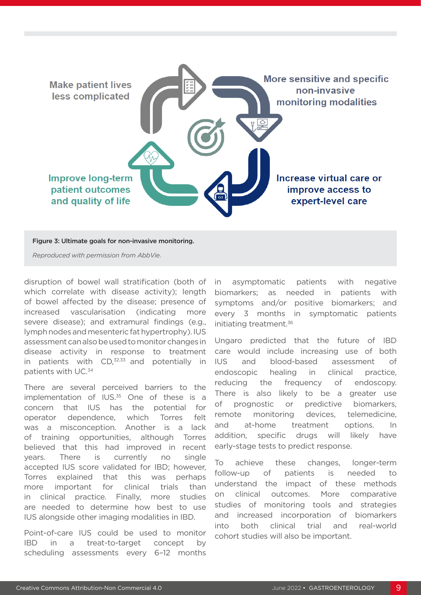

Figure 3: Ultimate goals for non-invasive monitoring.

*Reproduced with permission from AbbVie*.

disruption of bowel wall stratification (both of which correlate with disease activity); length of bowel affected by the disease; presence of increased vascularisation (indicating more severe disease); and extramural findings (e.g., lymph nodes and mesenteric fat hypertrophy). IUS assessment can also be used to monitor changes in disease activity in response to treatment in patients with  $CD<sub>1</sub><sup>32,33</sup>$  and potentially in patients with UC.34

There are several perceived barriers to the implementation of  $IUS<sub>35</sub>$  One of these is a concern that IUS has the potential for operator dependence, which Torres felt was a misconception. Another is a lack of training opportunities, although Torres believed that this had improved in recent years. There is currently no single accepted IUS score validated for IBD; however, Torres explained that this was perhaps more important for clinical trials than in clinical practice. Finally, more studies are needed to determine how best to use IUS alongside other imaging modalities in IBD.

Point-of-care IUS could be used to monitor IBD in a treat-to-target concept by scheduling assessments every 6–12 months

in asymptomatic patients with negative biomarkers; as needed in patients with symptoms and/or positive biomarkers; and every 3 months in symptomatic patients initiating treatment.<sup>36</sup>

Ungaro predicted that the future of IBD care would include increasing use of both IUS and blood-based assessment of endoscopic healing in clinical practice, reducing the frequency of endoscopy. There is also likely to be a greater use of prognostic or predictive biomarkers, remote monitoring devices, telemedicine, and at-home treatment options. In addition, specific drugs will likely have early-stage tests to predict response.

To achieve these changes, longer-term follow-up of patients is needed to understand the impact of these methods on clinical outcomes. More comparative studies of monitoring tools and strategies and increased incorporation of biomarkers into both clinical trial and real-world cohort studies will also be important.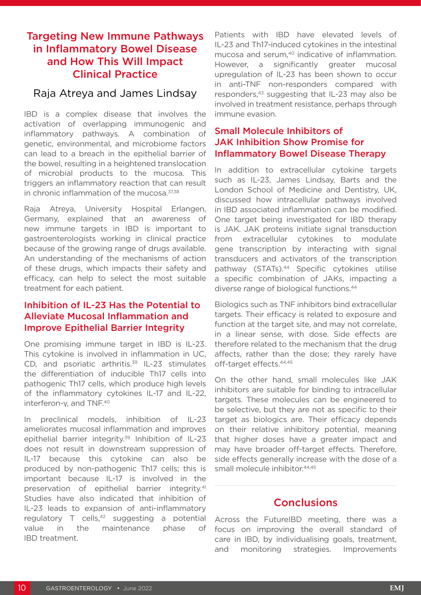#### Targeting New Immune Pathways in Inflammatory Bowel Disease and How This Will Impact Clinical Practice

#### Raja Atreya and James Lindsay

IBD is a complex disease that involves the activation of overlapping immunogenic and inflammatory pathways. A combination of genetic, environmental, and microbiome factors can lead to a breach in the epithelial barrier of the bowel, resulting in a heightened translocation of microbial products to the mucosa. This triggers an inflammatory reaction that can result in chronic inflammation of the mucosa.<sup>37,38</sup>

Raja Atreya, University Hospital Erlangen, Germany, explained that an awareness of new immune targets in IBD is important to gastroenterologists working in clinical practice because of the growing range of drugs available. An understanding of the mechanisms of action of these drugs, which impacts their safety and efficacy, can help to select the most suitable treatment for each patient.

#### Inhibition of IL-23 Has the Potential to Alleviate Mucosal Inflammation and Improve Epithelial Barrier Integrity

One promising immune target in IBD is IL-23. This cytokine is involved in inflammation in UC, CD, and psoriatic arthritis. $39$  IL-23 stimulates the differentiation of inducible Th17 cells into pathogenic Th17 cells, which produce high levels of the inflammatory cytokines IL-17 and IL-22, interferon-γ, and TNF.<sup>40</sup>

In preclinical models, inhibition of IL-23 ameliorates mucosal inflammation and improves epithelial barrier integrity.<sup>39</sup> Inhibition of IL-23 does not result in downstream suppression of IL-17 because this cytokine can also be produced by non-pathogenic Th17 cells; this is important because IL-17 is involved in the preservation of epithelial barrier integrity.<sup>41</sup> Studies have also indicated that inhibition of IL-23 leads to expansion of anti-inflammatory regulatory  $T$  cells,<sup>42</sup> suggesting a potential value in the maintenance phase of IBD treatment.

Patients with IBD have elevated levels of IL-23 and Th17-induced cytokines in the intestinal mucosa and serum,<sup>40</sup> indicative of inflammation. However, a significantly greater mucosal upregulation of IL-23 has been shown to occur in anti-TNF non-responders compared with responders,<sup>43</sup> suggesting that IL-23 may also be involved in treatment resistance, perhaps through immune evasion.

#### Small Molecule Inhibitors of JAK Inhibition Show Promise for Inflammatory Bowel Disease Therapy

In addition to extracellular cytokine targets such as IL-23, James Lindsay, Barts and the London School of Medicine and Dentistry, UK, discussed how intracellular pathways involved in IBD associated inflammation can be modified. One target being investigated for IBD therapy is JAK. JAK proteins initiate signal transduction from extracellular cytokines to modulate gene transcription by interacting with signal transducers and activators of the transcription pathway (STATs).<sup>44</sup> Specific cytokines utilise a specific combination of JAKs, impacting a diverse range of biological functions.44

Biologics such as TNF inhibitors bind extracellular targets. Their efficacy is related to exposure and function at the target site, and may not correlate, in a linear sense, with dose. Side effects are therefore related to the mechanism that the drug affects, rather than the dose; they rarely have off-target effects.44,45

On the other hand, small molecules like JAK inhibitors are suitable for binding to intracellular targets. These molecules can be engineered to be selective, but they are not as specific to their target as biologics are. Their efficacy depends on their relative inhibitory potential, meaning that higher doses have a greater impact and may have broader off-target effects. Therefore, side effects generally increase with the dose of a small molecule inhibitor.<sup>44,45</sup>

#### **Conclusions**

Across the FutureIBD meeting, there was a focus on improving the overall standard of care in IBD, by individualising goals, treatment, and monitoring strategies. Improvements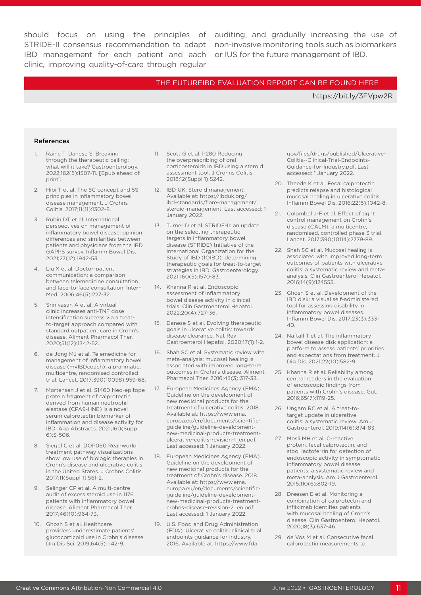IBD management for each patient and each or IUS for the future management of IBD.clinic, improving quality-of-care through regular

should focus on using the principles of auditing, and gradually increasing the use of STRIDE-II consensus recommendation to adapt non-invasive monitoring tools such as biomarkers

#### [THE FUTUREIBD EVALUATION REPORT CAN BE FOUND HERE](https://bit.ly/3FVpw2R)

<https://bit.ly/3FVpw2R>

#### References

- 1. Raine T, Danese S. Breaking through the therapeutic ceiling: what will it take? Gastroenterology. 2022;162(5):1507-11. [Epub ahead of print].
- 2. Hibi T et al. The 5C concept and 5S principles in inflammatory bowel disease management. J Crohns Colitis. 2017;11(11):1302-8.
- 3. Rubin DT et al. International perspectives on management of inflammatory bowel disease: opinion differences and similarities between patients and physicians from the IBD GAPPS survey. Inflamm Bowel Dis. 2021;27(12):1942-53.
- 4. Liu X et al. Doctor-patient communication: a comparison between telemedicine consultation and face-to-face consultation. Intern Med. 2006;46(5):227-32.
- 5. Srinivasan A et al. A virtual clinic increases anti-TNF dose intensification success via a treatto-target approach compared with standard outpatient care in Crohn's disease. Aliment Pharmacol Ther. 2020;51(12):1342-52.
- 6. de Jong MJ et al. Telemedicine for management of inflammatory bowel disease (myIBDcoach): a pragmatic, multicentre, randomised controlled trial. Lancet. 2017;390(10098):959-68.
- 7. Mortensen J et al. S1460 Neo-epitope protein fragment of calprotectin derived from human neutrophil elastase (CPA9-HNE) is a novel serum calprotectin biomarker of inflammation and disease activity for IBD. Aga Abstracts. 2021;160(Suppl 6):S-506.
- 8. Siegel C et al. DOP060 Real-world treatment pathway visualizations show low use of biologic therapies in Crohn's disease and ulcerative colitis in the United States. J Crohns Colitis. 2017;11(Suppl 1):S61-2.
- 9. Selinger CP et al. A multi-centre audit of excess steroid use in 1176 patients with inflammatory bowel disease. Aliment Pharmacol Ther. 2017;46(10):964-73.
- 10. Ghosh S et al. Healthcare providers underestimate patients' glucocorticoid use in Crohn's disease. Dig Dis Sci. 2019;64(5):1142-9.
- 11. Scott G et al. P280 Reducing the overprescribing of oral corticosteroids in IBD using a steroid assessment tool. J Crohns Colitis. 2018;12(Suppl 1):S242.
- 12. IBD UK. Steroid management. Available at: https://ibduk.org/ ibd-standards/flare-management/ steroid-management. Last accessed: 1 January 2022.
- 13. Turner D et al. STRIDE-II: an update on the selecting therapeutic targets in inflammatory bowel disease (STRIDE) tnitiative of the International Organization for the Study of IBD (IOIBD): determining therapeutic goals for treat-to-target strategies in IBD. Gastroenterology. 2021;160(5):1570-83.
- 14. Khanna R et al. Endoscopic assessment of inflammatory bowel disease activity in clinical trials. Clin Gastroenterol Hepatol. 2022;20(4):727-36.
- 15. Danese S et al. Evolving therapeutic goals in ulcerative colitis: towards disease clearance. Nat Rev Gastroenterol Hepatol. 2020;17(1):1-2.
- 16. Shah SC et al. Systematic review with meta-analysis: mucosal healing is associated with improved long-term outcomes in Crohn's disease. Aliment Pharmacol Ther. 2016;43(3):317-33.
- 17. European Medicines Agency (EMA). Guideline on the development of new medicinal products for the treatment of ulcerative colitis. 2018. Available at: https://www.ema. europa.eu/en/documents/scientificguideline/guideline-developmentnew-medicinal-products-treatmentulcerative-colitis-revision-1\_en.pdf. Last accessed: 1 January 2022.
- 18. European Medicines Agency (EMA). Guideline on the development of new medicinal products for the treatment of Crohn's disease. 2018. Available at: https://www.ema. europa.eu/en/documents/scientificguideline/guideline-developmentnew-medicinal-products-treatmentcrohns-disease-revision-2\_en.pdf. Last accessed: 1 January 2022.
- 19. U.S. Food and Drug Administration (FDA). Ulcerative colitis: clinical trial endpoints guidance for industry. 2016. Available at: https://www.fda.

gov/files/drugs/published/Ulcerative-Colitis--Clinical-Trial-Endpoints-Guidance-for-Industry.pdf. Last accessed: 1 January 2022.

- 20. Theede K et al. Fecal calprotectin predicts relapse and histological mucosal healing in ulcerative colitis. Inflamm Bowel Dis. 2016;22(5):1042-8.
- 21. Colombel J-F et al. Effect of tight control management on Crohn's disease (CALM): a multicentre, randomised, controlled phase 3 trial. Lancet. 2017;390(10114):2779-89.
- 22. Shah SC et al. Mucosal healing is associated with improved long-term outcomes of patients with ulcerative colitis: a systematic review and metaanalysis. Clin Gastroenterol Hepatol. 2016;14(9):124555.
- 23. Ghosh S et al. Development of the IBD disk: a visual self-administered tool for assessing disability in inflammatory bowel diseases. Inflamm Bowel Dis. 2017;23(3):333- 40.
- 24. Naftall T et al. The inflammatory bowel disease disk application: a platform to assess patients' priorities and expectations from treatment. J Dig Dis. 2021;22(10):582-9.
- 25. Khanna R et al. Reliability among central readers in the evaluation of endoscopic findings from patients with Crohn's disease. Gut. 2016;65(7):1119-25.
- 26. Ungaro RC et al. A treat-totarget update in ulcerative colitis: a systematic review. Am J Gastroenterol. 2019;114(6):874-83.
- 27. Mosli MH et al. C-reactive protein, fecal calprotectin, and stool lactoferrin for detection of endoscopic activity in symptomatic inflammatory bowel disease patients: a systematic review and meta-analysis. Am J Gastroenterol. 2015;110(6):802-19.
- 28. Dreesen E et al. Monitoring a combination of calprotectin and infliximab identifies patients with mucosal healing of Crohn's disease. Clin Gastroenterol Hepatol. 2020;18(3):637-46.
- 29. de Vos M et al. Consecutive fecal calprotectin measurements to